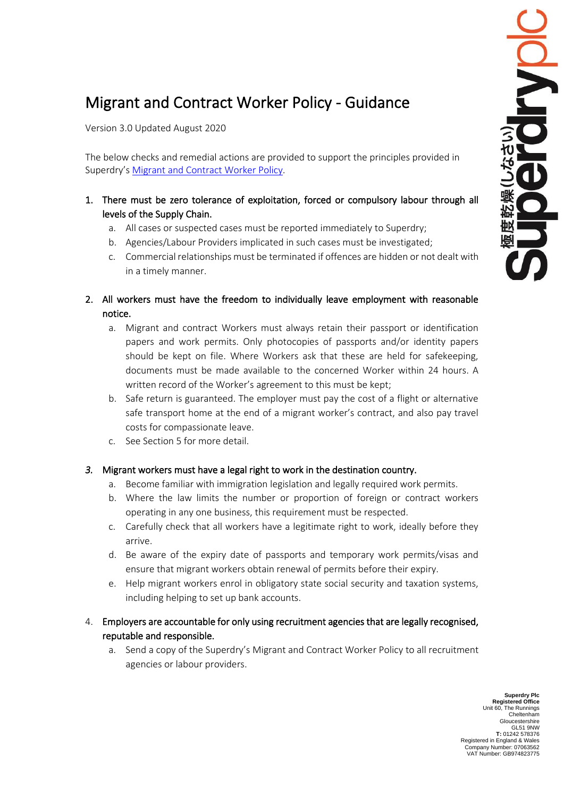## Migrant and Contract Worker Policy - Guidance

Version 3.0 Updated August 2020

The below checks and remedial actions are provided to support the principles provided in Superdry's [Migrant and Contract Worker Policy.](https://corporate.superdry.com/media/2771/sd-migrant-worker-policy.pdf)

- 1. There must be zero tolerance of exploitation, forced or compulsory labour through all levels of the Supply Chain.
	- a. All cases or suspected cases must be reported immediately to Superdry;
	- b. Agencies/Labour Providers implicated in such cases must be investigated;
	- c. Commercial relationships must be terminated if offences are hidden or not dealt with in a timely manner.
- 2. All workers must have the freedom to individually leave employment with reasonable notice.
	- a. Migrant and contract Workers must always retain their passport or identification papers and work permits. Only photocopies of passports and/or identity papers should be kept on file. Where Workers ask that these are held for safekeeping, documents must be made available to the concerned Worker within 24 hours. A written record of the Worker's agreement to this must be kept;
	- b. Safe return is guaranteed. The employer must pay the cost of a flight or alternative safe transport home at the end of a migrant worker's contract, and also pay travel costs for compassionate leave.
	- c. See Section 5 for more detail.

## *3.* Migrant workers must have a legal right to work in the destination country.

- a. Become familiar with immigration legislation and legally required work permits.
- b. Where the law limits the number or proportion of foreign or contract workers operating in any one business, this requirement must be respected.
- c. Carefully check that all workers have a legitimate right to work, ideally before they arrive.
- d. Be aware of the expiry date of passports and temporary work permits/visas and ensure that migrant workers obtain renewal of permits before their expiry.
- e. Help migrant workers enrol in obligatory state social security and taxation systems, including helping to set up bank accounts.
- 4. Employers are accountable for only using recruitment agencies that are legally recognised, reputable and responsible.
	- a. Send a copy of the Superdry's Migrant and Contract Worker Policy to all recruitment agencies or labour providers.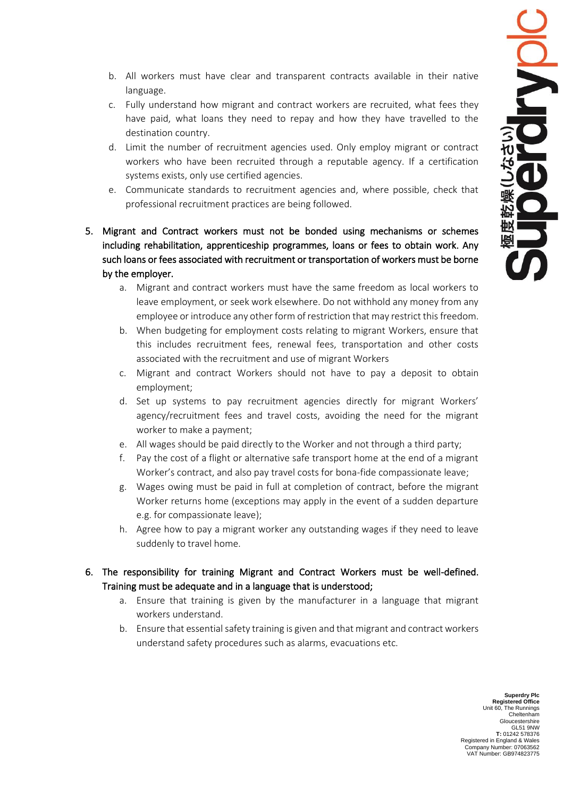- b. All workers must have clear and transparent contracts available in their native language.
- c. Fully understand how migrant and contract workers are recruited, what fees they have paid, what loans they need to repay and how they have travelled to the destination country.
- d. Limit the number of recruitment agencies used. Only employ migrant or contract workers who have been recruited through a reputable agency. If a certification systems exists, only use certified agencies.
- e. Communicate standards to recruitment agencies and, where possible, check that professional recruitment practices are being followed.
- 5. Migrant and Contract workers must not be bonded using mechanisms or schemes including rehabilitation, apprenticeship programmes, loans or fees to obtain work. Any such loans or fees associated with recruitment or transportation of workers must be borne by the employer.
	- a. Migrant and contract workers must have the same freedom as local workers to leave employment, or seek work elsewhere. Do not withhold any money from any employee or introduce any other form of restriction that may restrict this freedom.
	- b. When budgeting for employment costs relating to migrant Workers, ensure that this includes recruitment fees, renewal fees, transportation and other costs associated with the recruitment and use of migrant Workers
	- c. Migrant and contract Workers should not have to pay a deposit to obtain employment;
	- d. Set up systems to pay recruitment agencies directly for migrant Workers' agency/recruitment fees and travel costs, avoiding the need for the migrant worker to make a payment;
	- e. All wages should be paid directly to the Worker and not through a third party;
	- f. Pay the cost of a flight or alternative safe transport home at the end of a migrant Worker's contract, and also pay travel costs for bona-fide compassionate leave;
	- g. Wages owing must be paid in full at completion of contract, before the migrant Worker returns home (exceptions may apply in the event of a sudden departure e.g. for compassionate leave);
	- h. Agree how to pay a migrant worker any outstanding wages if they need to leave suddenly to travel home.
- 6. The responsibility for training Migrant and Contract Workers must be well-defined. Training must be adequate and in a language that is understood;
	- a. Ensure that training is given by the manufacturer in a language that migrant workers understand.
	- b. Ensure that essential safety training is given and that migrant and contract workers understand safety procedures such as alarms, evacuations etc.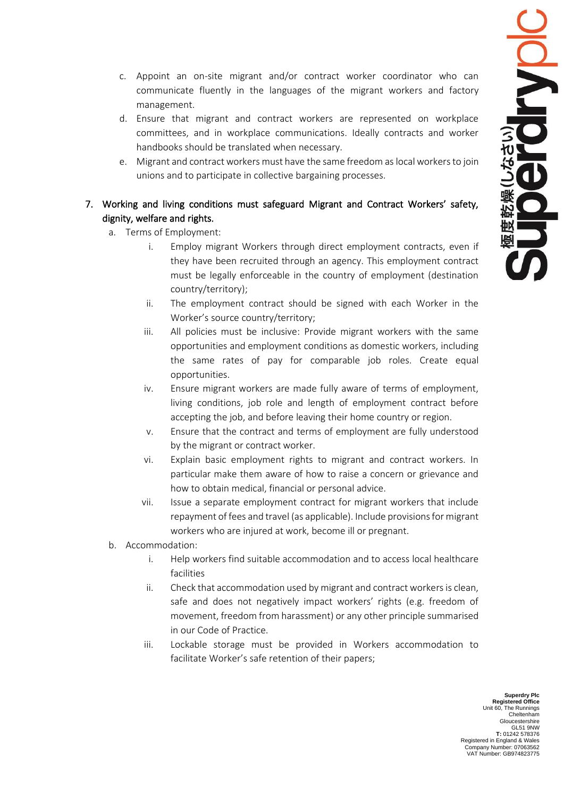- c. Appoint an on-site migrant and/or contract worker coordinator who can communicate fluently in the languages of the migrant workers and factory management.
- d. Ensure that migrant and contract workers are represented on workplace committees, and in workplace communications. Ideally contracts and worker handbooks should be translated when necessary.
- e. Migrant and contract workers must have the same freedom as local workers to join unions and to participate in collective bargaining processes.

## 7. Working and living conditions must safeguard Migrant and Contract Workers' safety, dignity, welfare and rights.

- a. Terms of Employment:
	- i. Employ migrant Workers through direct employment contracts, even if they have been recruited through an agency. This employment contract must be legally enforceable in the country of employment (destination country/territory);
	- ii. The employment contract should be signed with each Worker in the Worker's source country/territory;
	- iii. All policies must be inclusive: Provide migrant workers with the same opportunities and employment conditions as domestic workers, including the same rates of pay for comparable job roles. Create equal opportunities.
	- iv. Ensure migrant workers are made fully aware of terms of employment, living conditions, job role and length of employment contract before accepting the job, and before leaving their home country or region.
	- v. Ensure that the contract and terms of employment are fully understood by the migrant or contract worker.
	- vi. Explain basic employment rights to migrant and contract workers. In particular make them aware of how to raise a concern or grievance and how to obtain medical, financial or personal advice.
	- vii. Issue a separate employment contract for migrant workers that include repayment of fees and travel (as applicable). Include provisions for migrant workers who are injured at work, become ill or pregnant.
- b. Accommodation:
	- i. Help workers find suitable accommodation and to access local healthcare facilities
	- ii. Check that accommodation used by migrant and contract workers is clean, safe and does not negatively impact workers' rights (e.g. freedom of movement, freedom from harassment) or any other principle summarised in our Code of Practice.
	- iii. Lockable storage must be provided in Workers accommodation to facilitate Worker's safe retention of their papers;